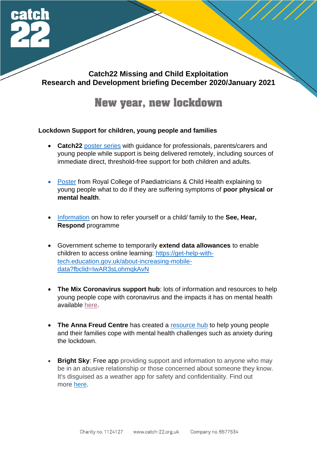

# **Catch22 Missing and Child Exploitation Research and Development briefing December 2020/January 2021**

# **New year, new lockdown**

# **Lockdown Support for children, young people and families**

- **Catch22** [poster series](https://www.catch-22.org.uk/news/guidance-on-delivering-and-accessing-remote-support/) with guidance for professionals, parents/carers and young people while support is being delivered remotely, including sources of immediate direct, threshold-free support for both children and adults.
- **[Poster](https://www.rcpch.ac.uk/sites/default/files/2020-12/Coronavirus-poster-young-people-2020-England.pdf) from Royal College of Paediatricians & Child Health explaining to** young people what to do if they are suffering symptoms of **poor physical or mental health**.
- [Information](•%09https:/www.barnardos.org.uk/see-hear-respond) on how to refer yourself or a child/ family to the **See, Hear, Respond** programme
- Government scheme to temporarily **extend data allowances** to enable children to access online learning: [https://get-help-with](https://get-help-with-tech.education.gov.uk/about-increasing-mobile-data?fbclid=IwAR3sLohmqkAvN)[tech.education.gov.uk/about-increasing-mobile](https://get-help-with-tech.education.gov.uk/about-increasing-mobile-data?fbclid=IwAR3sLohmqkAvN)[data?fbclid=IwAR3sLohmqkAvN](https://get-help-with-tech.education.gov.uk/about-increasing-mobile-data?fbclid=IwAR3sLohmqkAvN)
- **The Mix Coronavirus support hub**: lots of information and resources to help young people cope with coronavirus and the impacts it has on mental health available [here.](https://www.themix.org.uk/coronavirus-support)
- **The Anna Freud Centre** has created a [resource hub](https://www.annafreud.org/coronavirus-support/) to help young people and their families cope with mental health challenges such as anxiety during the lockdown.
- **Bright Sky:** Free app providing support and information to anyone who may be in an abusive relationship or those concerned about someone they know. It's disguised as a weather app for safety and confidentiality. Find out more [here.](https://www.hestia.org/brightsky)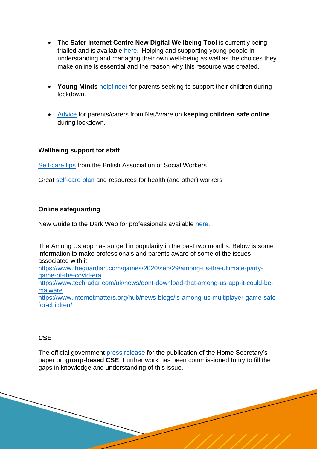- The **Safer Internet Centre New Digital Wellbeing Tool** is currently being trialled and is available [here.](https://www.saferinternet.org.uk/blog/uk-safer-internet-centre-partner-swgfl-pilot-new-digital-wellbeing-tool) 'Helping and supporting young people in understanding and managing their own well-being as well as the choices they make online is essential and the reason why this resource was created.'
- **Young Minds** [helpfinder](https://youngminds.org.uk/find-help/for-parents/supporting-your-child-during-the-coronavirus-pandemic/) for parents seeking to support their children during lockdown.
- [Advice](https://www.net-aware.org.uk/online-safety-lockdown/) for parents/carers from NetAware on **keeping children safe online** during lockdown.

#### **Wellbeing support for staff**

**[Self-care tips](https://www.basw.co.uk/quick-guide-self-care-social-workers-during-covid-19) from the British Association of Social Workers** 

Great [self-care plan](https://www.blackdoginstitute.org.au/wp-content/uploads/2020/05/COVID-19_Self-care-plan-for-healthcare-workers.pdf) and resources for health (and other) workers

#### **Online safeguarding**

New Guide to the Dark Web for professionals available [here.](https://www.childrenssociety.org.uk/information/professionals/resources/what-is-the-dark-web)

The Among Us app has surged in popularity in the past two months. Below is some information to make professionals and parents aware of some of the issues associated with it: [https://www.theguardian.com/games/2020/sep/29/among-us-the-ultimate-party](https://www.theguardian.com/games/2020/sep/29/among-us-the-ultimate-party-game-of-the-covid-era)[game-of-the-covid-era](https://www.theguardian.com/games/2020/sep/29/among-us-the-ultimate-party-game-of-the-covid-era) [https://www.techradar.com/uk/news/dont-download-that-among-us-app-it-could-be](https://www.techradar.com/uk/news/dont-download-that-among-us-app-it-could-be-malware)[malware](https://www.techradar.com/uk/news/dont-download-that-among-us-app-it-could-be-malware) [https://www.internetmatters.org/hub/news-blogs/is-among-us-multiplayer-game-safe](https://www.internetmatters.org/hub/news-blogs/is-among-us-multiplayer-game-safe-for-children/)[for-children/](https://www.internetmatters.org/hub/news-blogs/is-among-us-multiplayer-game-safe-for-children/)

#### **CSE**

The official government [press release](https://www.gov.uk/government/news/priti-patel-publishes-paper-on-group-based-child-sexual-exploitation) for the publication of the Home Secretary's paper on **group-based CSE**. Further work has been commissioned to try to fill the gaps in knowledge and understanding of this issue.